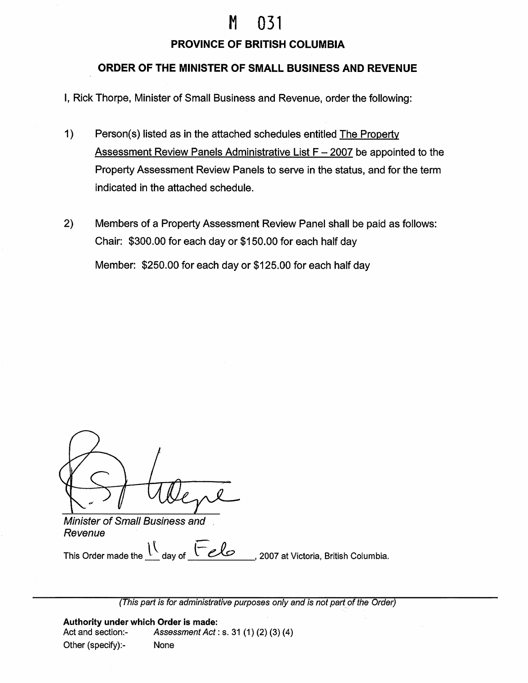## M 031

## **PROVINCE OF BRITISH COLUMBIA**

## **ORDER OF THE MINISTER OF SMALL BUSINESS AND REVENUE**

I, Rick Thorpe, Minister of Small Business and Revenue, order the following:

- 1) Person(s) listed as in the attached schedules entitled The Property Assessment Review Panels Administrative List  $F - 2007$  be appointed to the Property Assessment Review Panels to serve in the status, and for the term indicated in the attached schedule.
- 2) Members of a Property Assessment Review Panel shall be paid as follows: Chair: \$300.00 for each day or \$150.00 for each half day Member: \$250.00 for each day or \$125.00 for each half day

Minister of Small Business and Revenue

*Revenue*<br>This Order made the  $\frac{\int_{0}^{\int_{0}^{T} f(x) dx} dx}{\int_{0}^{\int_{0}^{T} f(x) dx}}$ , 2007 at Victoria, British Columbia.

(This part is for administrative purposes only and is not part of the Order)

**Authority under which Order is made:**  Act and section:- Assessment Act: s. 31 (1) (2) (3) (4) Other (specify):- None